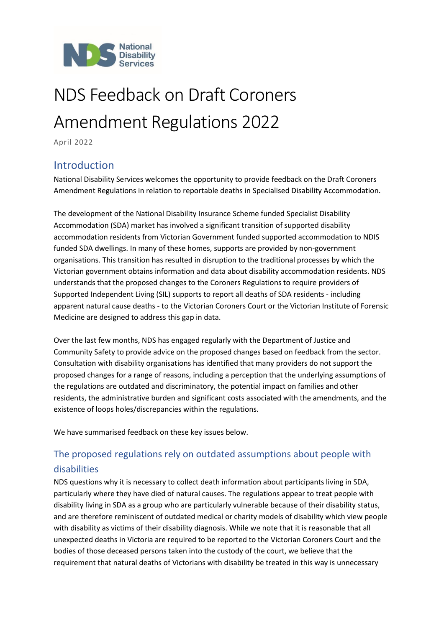

# NDS Feedback on Draft Coroners Amendment Regulations 2022

April 2022

## Introduction

National Disability Services welcomes the opportunity to provide feedback on the Draft Coroners Amendment Regulations in relation to reportable deaths in Specialised Disability Accommodation.

The development of the National Disability Insurance Scheme funded Specialist Disability Accommodation (SDA) market has involved a significant transition of supported disability accommodation residents from Victorian Government funded supported accommodation to NDIS funded SDA dwellings. In many of these homes, supports are provided by non-government organisations. This transition has resulted in disruption to the traditional processes by which the Victorian government obtains information and data about disability accommodation residents. NDS understands that the proposed changes to the Coroners Regulations to require providers of Supported Independent Living (SIL) supports to report all deaths of SDA residents - including apparent natural cause deaths - to the Victorian Coroners Court or the Victorian Institute of Forensic Medicine are designed to address this gap in data.

Over the last few months, NDS has engaged regularly with the Department of Justice and Community Safety to provide advice on the proposed changes based on feedback from the sector. Consultation with disability organisations has identified that many providers do not support the proposed changes for a range of reasons, including a perception that the underlying assumptions of the regulations are outdated and discriminatory, the potential impact on families and other residents, the administrative burden and significant costs associated with the amendments, and the existence of loops holes/discrepancies within the regulations.

We have summarised feedback on these key issues below.

## The proposed regulations rely on outdated assumptions about people with disabilities

NDS questions why it is necessary to collect death information about participants living in SDA, particularly where they have died of natural causes. The regulations appear to treat people with disability living in SDA as a group who are particularly vulnerable because of their disability status, and are therefore reminiscent of outdated medical or charity models of disability which view people with disability as victims of their disability diagnosis. While we note that it is reasonable that all unexpected deaths in Victoria are required to be reported to the Victorian Coroners Court and the bodies of those deceased persons taken into the custody of the court, we believe that the requirement that natural deaths of Victorians with disability be treated in this way is unnecessary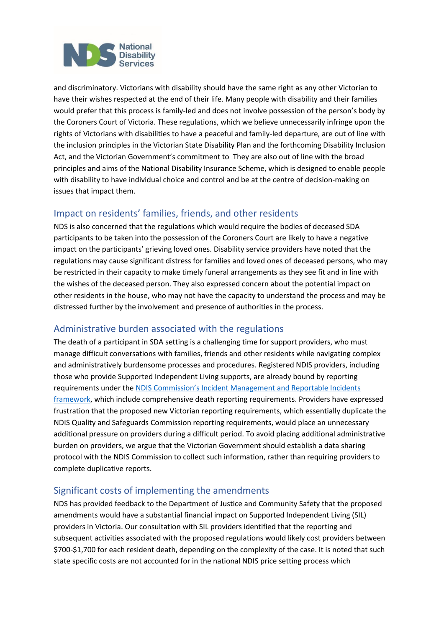

and discriminatory. Victorians with disability should have the same right as any other Victorian to have their wishes respected at the end of their life. Many people with disability and their families would prefer that this process is family-led and does not involve possession of the person's body by the Coroners Court of Victoria. These regulations, which we believe unnecessarily infringe upon the rights of Victorians with disabilities to have a peaceful and family-led departure, are out of line with the inclusion principles in the Victorian State Disability Plan and the forthcoming Disability Inclusion Act, and the Victorian Government's commitment to They are also out of line with the broad principles and aims of the National Disability Insurance Scheme, which is designed to enable people with disability to have individual choice and control and be at the centre of decision-making on issues that impact them.

#### Impact on residents' families, friends, and other residents

NDS is also concerned that the regulations which would require the bodies of deceased SDA participants to be taken into the possession of the Coroners Court are likely to have a negative impact on the participants' grieving loved ones. Disability service providers have noted that the regulations may cause significant distress for families and loved ones of deceased persons, who may be restricted in their capacity to make timely funeral arrangements as they see fit and in line with the wishes of the deceased person. They also expressed concern about the potential impact on other residents in the house, who may not have the capacity to understand the process and may be distressed further by the involvement and presence of authorities in the process.

#### Administrative burden associated with the regulations

The death of a participant in SDA setting is a challenging time for support providers, who must manage difficult conversations with families, friends and other residents while navigating complex and administratively burdensome processes and procedures. Registered NDIS providers, including those who provide Supported Independent Living supports, are already bound by reporting requirements under the [NDIS Commission's Incident Management and Reportable Incidents](https://www.ndiscommission.gov.au/providers/incident-management-and-reportable-incidents)  [framework,](https://www.ndiscommission.gov.au/providers/incident-management-and-reportable-incidents) which include comprehensive death reporting requirements. Providers have expressed frustration that the proposed new Victorian reporting requirements, which essentially duplicate the NDIS Quality and Safeguards Commission reporting requirements, would place an unnecessary additional pressure on providers during a difficult period. To avoid placing additional administrative burden on providers, we argue that the Victorian Government should establish a data sharing protocol with the NDIS Commission to collect such information, rather than requiring providers to complete duplicative reports.

#### Significant costs of implementing the amendments

NDS has provided feedback to the Department of Justice and Community Safety that the proposed amendments would have a substantial financial impact on Supported Independent Living (SIL) providers in Victoria. Our consultation with SIL providers identified that the reporting and subsequent activities associated with the proposed regulations would likely cost providers between \$700-\$1,700 for each resident death, depending on the complexity of the case. It is noted that such state specific costs are not accounted for in the national NDIS price setting process which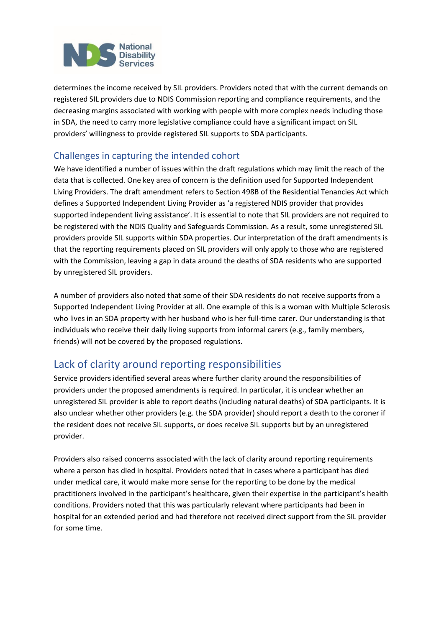

determines the income received by SIL providers. Providers noted that with the current demands on registered SIL providers due to NDIS Commission reporting and compliance requirements, and the decreasing margins associated with working with people with more complex needs including those in SDA, the need to carry more legislative compliance could have a significant impact on SIL providers' willingness to provide registered SIL supports to SDA participants.

#### Challenges in capturing the intended cohort

We have identified a number of issues within the draft regulations which may limit the reach of the data that is collected. One key area of concern is the definition used for Supported Independent Living Providers. The draft amendment refers to Section 498B of the Residential Tenancies Act which defines a Supported Independent Living Provider as 'a registered NDIS provider that provides supported independent living assistance'. It is essential to note that SIL providers are not required to be registered with the NDIS Quality and Safeguards Commission. As a result, some unregistered SIL providers provide SIL supports within SDA properties. Our interpretation of the draft amendments is that the reporting requirements placed on SIL providers will only apply to those who are registered with the Commission, leaving a gap in data around the deaths of SDA residents who are supported by unregistered SIL providers.

A number of providers also noted that some of their SDA residents do not receive supports from a Supported Independent Living Provider at all. One example of this is a woman with Multiple Sclerosis who lives in an SDA property with her husband who is her full-time carer. Our understanding is that individuals who receive their daily living supports from informal carers (e.g., family members, friends) will not be covered by the proposed regulations.

# Lack of clarity around reporting responsibilities

Service providers identified several areas where further clarity around the responsibilities of providers under the proposed amendments is required. In particular, it is unclear whether an unregistered SIL provider is able to report deaths (including natural deaths) of SDA participants. It is also unclear whether other providers (e.g. the SDA provider) should report a death to the coroner if the resident does not receive SIL supports, or does receive SIL supports but by an unregistered provider.

Providers also raised concerns associated with the lack of clarity around reporting requirements where a person has died in hospital. Providers noted that in cases where a participant has died under medical care, it would make more sense for the reporting to be done by the medical practitioners involved in the participant's healthcare, given their expertise in the participant's health conditions. Providers noted that this was particularly relevant where participants had been in hospital for an extended period and had therefore not received direct support from the SIL provider for some time.